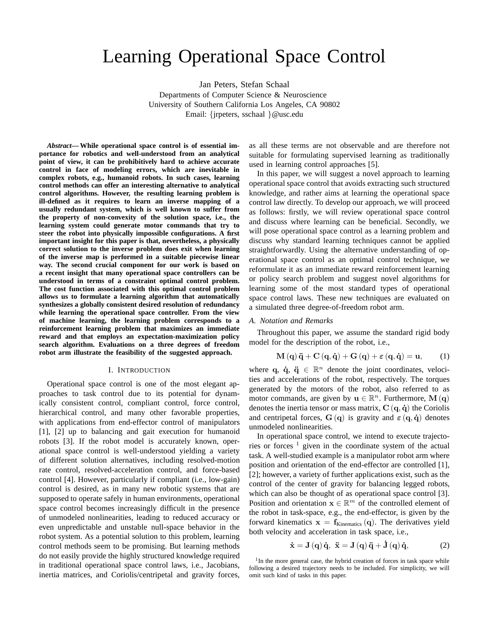# Learning Operational Space Control

Jan Peters, Stefan Schaal Departments of Computer Science & Neuroscience University of Southern California Los Angeles, CA 90802 Email: {jrpeters, sschaal }@usc.edu

*Abstract***— While operational space control is of essential importance for robotics and well-understood from an analytical point of view, it can be prohibitively hard to achieve accurate control in face of modeling errors, which are inevitable in complex robots, e.g., humanoid robots. In such cases, learning control methods can offer an interesting alternative to analytical control algorithms. However, the resulting learning problem is ill-defined as it requires to learn an inverse mapping of a usually redundant system, which is well known to suffer from the property of non-convexity of the solution space, i.e., the learning system could generate motor commands that try to steer the robot into physically impossible configurations. A first important insight for this paper is that, nevertheless, a physically correct solution to the inverse problem does exit when learning of the inverse map is performed in a suitable piecewise linear way. The second crucial component for our work is based on a recent insight that many operational space controllers can be understood in terms of a constraint optimal control problem. The cost function associated with this optimal control problem allows us to formulate a learning algorithm that automatically synthesizes a globally consistent desired resolution of redundancy while learning the operational space controller. From the view of machine learning, the learning problem corresponds to a reinforcement learning problem that maximizes an immediate reward and that employs an expectation-maximization policy search algorithm. Evaluations on a three degrees of freedom robot arm illustrate the feasibility of the suggested approach.**

#### I. INTRODUCTION

Operational space control is one of the most elegant approaches to task control due to its potential for dynamically consistent control, compliant control, force control, hierarchical control, and many other favorable properties, with applications from end-effector control of manipulators [1], [2] up to balancing and gait execution for humanoid robots [3]. If the robot model is accurately known, operational space control is well-understood yielding a variety of different solution alternatives, including resolved-motion rate control, resolved-acceleration control, and force-based control [4]. However, particularly if compliant (i.e., low-gain) control is desired, as in many new robotic systems that are supposed to operate safely in human environments, operational space control becomes increasingly difficult in the presence of unmodeled nonlinearities, leading to reduced accuracy or even unpredictable and unstable null-space behavior in the robot system. As a potential solution to this problem, learning control methods seem to be promising. But learning methods do not easily provide the highly structured knowledge required in traditional operational space control laws, i.e., Jacobians, inertia matrices, and Coriolis/centripetal and gravity forces,

as all these terms are not observable and are therefore not suitable for formulating supervised learning as traditionally used in learning control approaches [5].

In this paper, we will suggest a novel approach to learning operational space control that avoids extracting such structured knowledge, and rather aims at learning the operational space control law directly. To develop our approach, we will proceed as follows: firstly, we will review operational space control and discuss where learning can be beneficial. Secondly, we will pose operational space control as a learning problem and discuss why standard learning techniques cannot be applied straightforwardly. Using the alternative understanding of operational space control as an optimal control technique, we reformulate it as an immediate reward reinforcement learning or policy search problem and suggest novel algorithms for learning some of the most standard types of operational space control laws. These new techniques are evaluated on a simulated three degree-of-freedom robot arm.

#### *A. Notation and Remarks*

Throughout this paper, we assume the standard rigid body model for the description of the robot, i.e.,

$$
\mathbf{M}(\mathbf{q})\ddot{\mathbf{q}} + \mathbf{C}(\mathbf{q}, \dot{\mathbf{q}}) + \mathbf{G}(\mathbf{q}) + \varepsilon (\mathbf{q}, \dot{\mathbf{q}}) = \mathbf{u}, \qquad (1)
$$

where q,  $\dot{q}$ ,  $\ddot{q} \in \mathbb{R}^n$  denote the joint coordinates, velocities and accelerations of the robot, respectively. The torques generated by the motors of the robot, also referred to as motor commands, are given by  $\mathbf{u} \in \mathbb{R}^n$ . Furthermore,  $\mathbf{M}(\mathbf{q})$ denotes the inertia tensor or mass matrix,  $C(q, \dot{q})$  the Coriolis and centripetal forces,  $G(q)$  is gravity and  $\varepsilon(q, \dot{q})$  denotes unmodeled nonlinearities.

In operational space control, we intend to execute trajectories or forces  $1$  given in the coordinate system of the actual task. A well-studied example is a manipulator robot arm where position and orientation of the end-effector are controlled [1], [2]; however, a variety of further applications exist, such as the control of the center of gravity for balancing legged robots, which can also be thought of as operational space control [3]. Position and orientation  $\mathbf{x} \in \mathbb{R}^m$  of the controlled element of the robot in task-space, e.g., the end-effector, is given by the forward kinematics  $x = f_{Kinematics}(q)$ . The derivatives yield both velocity and acceleration in task space, i.e.,

$$
\dot{\mathbf{x}} = \mathbf{J}(\mathbf{q})\,\dot{\mathbf{q}}, \ \ddot{\mathbf{x}} = \mathbf{J}(\mathbf{q})\,\ddot{\mathbf{q}} + \dot{\mathbf{J}}(\mathbf{q})\,\dot{\mathbf{q}}, \tag{2}
$$

<sup>&</sup>lt;sup>1</sup>In the more general case, the hybrid creation of forces in task space while following a desired trajectory needs to be included. For simplicity, we will omit such kind of tasks in this paper.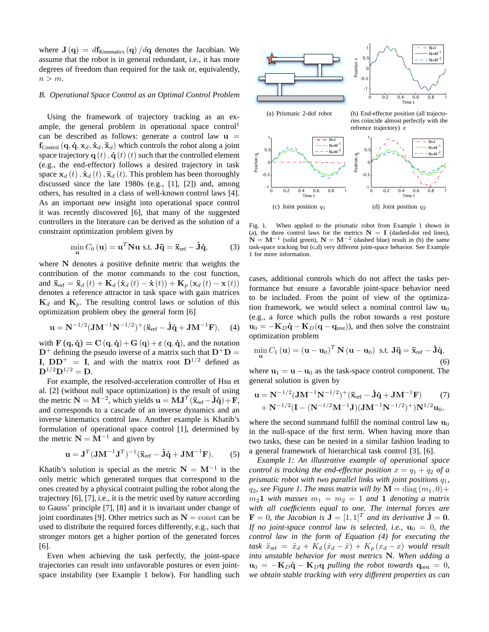where  $J(q) = df_{Kinematics}(q)/dq$  denotes the Jacobian. We assume that the robot is in general redundant, i.e., it has more degrees of freedom than required for the task or, equivalently,  $n > m$ .

## *B. Operational Space Control as an Optimal Control Problem*

Using the framework of trajectory tracking as an example, the general problem in operational space control<sup>1</sup> can be described as follows: generate a control law  $\mathbf{u} =$  $f_{\text{Control}}(q, \dot{q}, x_d, \dot{x}_d, \ddot{x}_d)$  which controls the robot along a joint space trajectory  $\mathbf{q}(t)$ ,  $\dot{\mathbf{q}}(t)(t)$  such that the controlled element (e.g., the end-effector) follows a desired trajectory in task space  ${\bf x}_d(t)$ ,  $\dot{\bf x}_d(t)$ ,  $\ddot{\bf x}_d(t)$ . This problem has been thoroughly discussed since the late 1980s (e.g., [1], [2]) and, among others, has resulted in a class of well-known control laws [4]. As an important new insight into operational space control it was recently discovered [6], that many of the suggested controllers in the literature can be derived as the solution of a constraint optimization problem given by

$$
\min_{\mathbf{u}} C_0(\mathbf{u}) = \mathbf{u}^T \mathbf{N} \mathbf{u} \text{ s.t. } \mathbf{J}\ddot{\mathbf{q}} = \ddot{\mathbf{x}}_{\text{ref}} - \dot{\mathbf{J}}\dot{\mathbf{q}},
$$
 (3)

where N denotes a positive definite metric that weights the contribution of the motor commands to the cost function, and  $\ddot{\mathbf{x}}_{\text{ref}} = \ddot{\mathbf{x}}_{d}(t) + \mathbf{K}_{d}(\dot{\mathbf{x}}_{d}(t) - \dot{\mathbf{x}}(t)) + \mathbf{K}_{p}(\mathbf{x}_{d}(t) - \mathbf{x}(t))$ denotes a reference attractor in task space with gain matrices  $\mathbf{K}_d$  and  $\mathbf{K}_p$ . The resulting control laws or solution of this optimization problem obey the general form [6]

$$
\mathbf{u} = \mathbf{N}^{-1/2} (\mathbf{J} \mathbf{M}^{-1} \mathbf{N}^{-1/2})^{+} (\ddot{\mathbf{x}}_{\text{ref}} - \dot{\mathbf{J}} \dot{\mathbf{q}} + \mathbf{J} \mathbf{M}^{-1} \mathbf{F}), \quad (4)
$$

with  $\mathbf{F}(\mathbf{q}, \dot{\mathbf{q}}) = \mathbf{C}(\mathbf{q}, \dot{\mathbf{q}}) + \mathbf{G}(\mathbf{q}) + \varepsilon (\mathbf{q}, \dot{\mathbf{q}})$ , and the notation  $D^+$  defining the pseudo inverse of a matrix such that  $D^+D =$ I,  $DD^+ = I$ , and with the matrix root  $D^{1/2}$  defined as  ${\bf D}^{1/2}{\bf D}^{1/2}={\bf D}.$ 

For example, the resolved-acceleration controller of Hsu et al. [2] (without null space optimization) is the result of using the metric  $N = M^{-2}$ , which yields  $\mathbf{u} = \mathbf{M}\mathbf{J}^T(\ddot{\mathbf{x}}_{\text{ref}} - \dot{\mathbf{J}}\dot{\mathbf{q}}) + \mathbf{F}$ , and corresponds to a cascade of an inverse dynamics and an inverse kinematics control law. Another example is Khatib's formulation of operational space control [1], determined by the metric  $N = M^{-1}$  and given by

$$
\mathbf{u} = \mathbf{J}^T (\mathbf{J} \mathbf{M}^{-1} \mathbf{J}^T)^{-1} (\ddot{\mathbf{x}}_{\text{ref}} - \dot{\mathbf{J}} \dot{\mathbf{q}} + \mathbf{J} \mathbf{M}^{-1} \mathbf{F}).
$$
 (5)

Khatib's solution is special as the metric  $N = M^{-1}$  is the only metric which generated torques that correspond to the ones created by a physical contraint pulling the robot along the trajectory [6], [7], i.e., it is the metric used by nature according to Gauss' principle [7], [8] and it is invariant under change of joint coordinates [9]. Other metrics such as  $N =$  const can be used to distribute the required forces differently, e.g., such that stronger motors get a higher portion of the generated forces [6].

Even when achieving the task perfectly, the joint-space trajectories can result into unfavorable postures or even jointspace instability (see Example 1 below). For handling such



Fig. 1. When applied to the prismatic robot from Example 1 shown in (a), the three control laws for the metrics  $N = I$  (dashed-dot red lines),  $N = M^{-1}$  (solid green),  $N = M^{-2}$  (dashed blue) result in (b) the same task-space tracking but (c,d) very different joint-space behavior. See Example 1 for more information.

cases, additional controls which do not affect the tasks performance but ensure a favorable joint-space behavior need to be included. From the point of view of the optimization framework, we would select a nominal control law  $\mathbf{u}_0$ (e.g., a force which pulls the robot towards a rest posture  $u_0 = -K_D \dot{q} - K_D (q - q_{rest})$ , and then solve the constraint optimization problem

$$
\min_{\mathbf{u}} C_1(\mathbf{u}) = (\mathbf{u} - \mathbf{u}_0)^T \mathbf{N} (\mathbf{u} - \mathbf{u}_0) \text{ s.t. } \mathbf{J}\ddot{\mathbf{q}} = \ddot{\mathbf{x}}_{\text{ref}} - \dot{\mathbf{J}}\dot{\mathbf{q}},
$$
\n(6)

where  $u_1 = u - u_0$  as the task-space control component. The general solution is given by

$$
\mathbf{u} = \mathbf{N}^{-1/2} (\mathbf{J} \mathbf{M}^{-1} \mathbf{N}^{-1/2})^{+} (\ddot{\mathbf{x}}_{\text{ref}} - \dot{\mathbf{J}} \dot{\mathbf{q}} + \mathbf{J} \mathbf{M}^{-1} \mathbf{F}) \tag{7}
$$

$$
+ \mathbf{N}^{-1/2} (\mathbf{I} - (\mathbf{N}^{-1/2} \mathbf{M}^{-1} \mathbf{J}) (\mathbf{J} \mathbf{M}^{-1} \mathbf{N}^{-1/2})^{+}) \mathbf{N}^{1/2} \mathbf{u}_{0},
$$

where the second summand fulfill the nominal control law  $\mathbf{u}_0$ in the null-space of the first term. When having more than two tasks, these can be nested in a similar fashion leading to a general framework of hierarchical task control [3], [6].

*Example 1: An illustrative example of operational space control is tracking the end-effector position*  $x = q_1 + q_2$  *of a prismatic robot with two parallel links with joint positions*  $q_1$ *,*  $q_2$ , see Figure 1. The mass matrix will by  $\mathbf{M} = \text{diag}(m_1, 0) + \cdots$  $m_2$ **1** with masses  $m_1 = m_2 = 1$  and **1** denoting a matrix *with all coefficients equal to one. The internal forces are*  $\mathbf{F} = 0$ *, the Jacobian is*  $\mathbf{J} = [1, 1]^T$  *and its derivative*  $\dot{\mathbf{J}} = 0$ *. If no joint-space control law is selected, i.e.,*  $\mathbf{u}_0 = 0$ *, the control law in the form of Equation (4) for executing the*  $task \ddot{x}_{\text{ref}} = \ddot{x}_d + K_d (\dot{x}_d - \dot{x}) + K_p (x_d - x)$  *would result into unstable behavior for most metrics* N*. When adding a*  $u_0 = -K_D \dot{q} - K_D q$  *pulling the robot towards*  $q_{rest} = 0$ , *we obtain stable tracking with very different properties as can*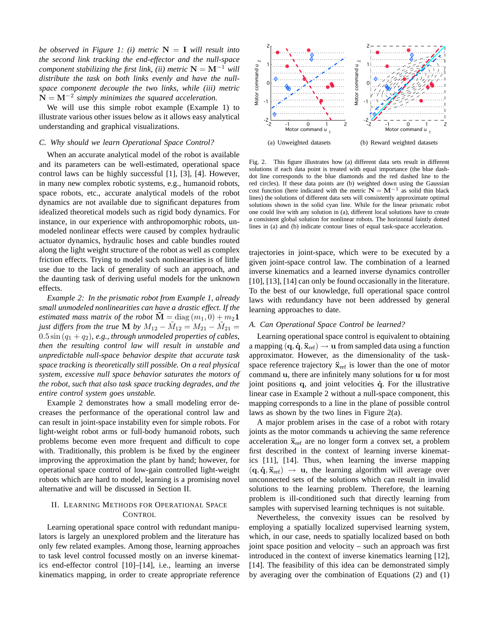*be observed in Figure 1: (i) metric*  $N = I$  *will result into the second link tracking the end-effector and the null-space component stabilizing the first link, (ii) metric*  $N = M^{-1}$  *will distribute the task on both links evenly and have the nullspace component decouple the two links, while (iii) metric*  $\dot{\mathbf{N}} = \mathbf{M}^{-2}$  simply minimizes the squared acceleration.

We will use this simple robot example (Example 1) to illustrate various other issues below as it allows easy analytical understanding and graphical visualizations.

#### *C. Why should we learn Operational Space Control?*

When an accurate analytical model of the robot is available and its parameters can be well-estimated, operational space control laws can be highly successful [1], [3], [4]. However, in many new complex robotic systems, e.g., humanoid robots, space robots, etc., accurate analytical models of the robot dynamics are not available due to significant depatures from idealized theoretical models such as rigid body dynamics. For instance, in our experience with anthropomorphic robots, unmodeled nonlinear effects were caused by complex hydraulic actuator dynamics, hydraulic hoses and cable bundles routed along the light weight structure of the robot as well as complex friction effects. Trying to model such nonlinearities is of little use due to the lack of generality of such an approach, and the daunting task of deriving useful models for the unknown effects.

*Example 2: In the prismatic robot from Example 1, already small unmodeled nonlinearities can have a drastic effect. If the estimated mass matrix of the robot*  $\mathbf{M} = \text{diag}(m_1, 0) + m_2 \mathbf{1}$ *just differs from the true* **M** *by*  $M_{12} - \tilde{M}_{12} = M_{21} - \tilde{M}_{21} =$  $0.5 \sin (q_1 + q_2)$ , e.g., through unmodeled properties of cables, *then the resulting control law will result in unstable and unpredictable null-space behavior despite that accurate task space tracking is theoretically still possible. On a real physical system, excessive null space behavior saturates the motors of the robot, such that also task space tracking degrades, and the entire control system goes unstable.*

Example 2 demonstrates how a small modeling error decreases the performance of the operational control law and can result in joint-space instability even for simple robots. For light-weight robot arms or full-body humanoid robots, such problems become even more frequent and difficult to cope with. Traditionally, this problem is be fixed by the engineer improving the approximation the plant by hand; however, for operational space control of low-gain controlled light-weight robots which are hard to model, learning is a promising novel alternative and will be discussed in Section II.

#### II. LEARNING METHODS FOR OPERATIONAL SPACE **CONTROL**

Learning operational space control with redundant manipulators is largely an unexplored problem and the literature has only few related examples. Among those, learning approaches to task level control focussed mostly on an inverse kinematics end-effector control [10]–[14], i.e., learning an inverse kinematics mapping, in order to create appropriate reference



Fig. 2. This figure illustrates how (a) different data sets result in different solutions if each data point is treated with equal importance (the blue dashdot line corresponds to the blue diamonds and the red dashed line to the red circles). If these data points are (b) weighted down using the Gaussian cost function (here indicated with the metric  $N = M^{-1}$  as solid thin black lines) the solutions of different data sets will consistently approximate optimal solutions shown in the solid cyan line. While for the linear prismatic robot one could live with any solution in (a), different local solutions have to create a consistent global solution for nonlinear robots. The horizontal faintly dotted lines in (a) and (b) indicate contour lines of equal task-space acceleration.

trajectories in joint-space, which were to be executed by a given joint-space control law. The combination of a learned inverse kinematics and a learned inverse dynamics controller [10], [13], [14] can only be found occasionally in the literature. To the best of our knowledge, full operational space control laws with redundancy have not been addressed by general learning approaches to date.

## *A. Can Operational Space Control be learned?*

Learning operational space control is equivalent to obtaining a mapping  $({\bf q}, {\bf \dot{q}}, {\bf \ddot{x}}_{ref}) \rightarrow {\bf u}$  from sampled data using a function approximator. However, as the dimensionality of the taskspace reference trajectory  $\ddot{\mathbf{x}}_{ref}$  is lower than the one of motor command u, there are infinitely many solutions for u for most joint positions  $q$ , and joint velocities  $\dot{q}$ . For the illustrative linear case in Example 2 without a null-space component, this mapping corresponds to a line in the plane of possible control laws as shown by the two lines in Figure 2(a).

A major problem arises in the case of a robot with rotary joints as the motor commands u achieving the same reference acceleration  $\ddot{\mathbf{x}}_{ref}$  are no longer form a convex set, a problem first described in the context of learning inverse kinematics [11], [14]. Thus, when learning the inverse mapping  $(q, \dot{q}, \ddot{x}_{ref}) \rightarrow u$ , the learning algorithm will average over unconnected sets of the solutions which can result in invalid solutions to the learning problem. Therefore, the learning problem is ill-conditioned such that directly learning from samples with supervised learning techniques is not suitable.

Nevertheless, the convexity issues can be resolved by employing a spatially localized supervised learning system, which, in our case, needs to spatially localized based on both joint space position and velocity – such an approach was first introduced in the context of inverse kinematics learning [12], [14]. The feasibility of this idea can be demonstrated simply by averaging over the combination of Equations (2) and (1)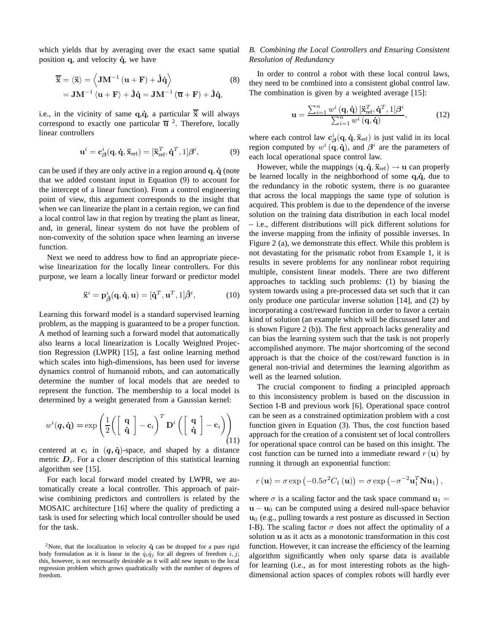which yields that by averaging over the exact same spatial position  $q$ , and velocity  $\dot{q}$ , we have

$$
\overline{\ddot{\mathbf{x}}} = \langle \ddot{\mathbf{x}} \rangle = \left\langle \mathbf{J} \mathbf{M}^{-1} \left( \mathbf{u} + \mathbf{F} \right) + \dot{\mathbf{J}} \dot{\mathbf{q}} \right\rangle
$$
\n
$$
= \mathbf{J} \mathbf{M}^{-1} \left\langle \mathbf{u} + \mathbf{F} \right\rangle + \dot{\mathbf{J}} \dot{\mathbf{q}} = \mathbf{J} \mathbf{M}^{-1} \left( \overline{\mathbf{u}} + \mathbf{F} \right) + \dot{\mathbf{J}} \dot{\mathbf{q}},
$$
\n(8)

i.e., in the vicinity of same  $q, \dot{q}$ , a particular  $\overline{\ddot{x}}$  will always correspond to exactly one particular  $\overline{u}$  <sup>2</sup>. Therefore, locally linear controllers

$$
\mathbf{u}^{i} = \mathbf{c}^{i}_{\beta}(\mathbf{q}, \mathbf{\dot{q}}, \mathbf{\ddot{x}}_{ref}) = [\mathbf{\ddot{x}}_{ref}^{T}, \mathbf{\dot{q}}^{T}, 1] \boldsymbol{\beta}^{i}, \tag{9}
$$

can be used if they are only active in a region around  $q, \dot{q}$  (note that we added constant input in Equation (9) to account for the intercept of a linear function). From a control engineering point of view, this argument corresponds to the insight that when we can linearize the plant in a certain region, we can find a local control law in that region by treating the plant as linear, and, in general, linear system do not have the problem of non-convexity of the solution space when learning an inverse function.

Next we need to address how to find an appropriate piecewise linearization for the locally linear controllers. For this purpose, we learn a locally linear forward or predictor model

$$
\ddot{\mathbf{x}}^i = \mathbf{p}_{\hat{\boldsymbol{\beta}}}^i(\mathbf{q}, \dot{\mathbf{q}}, \mathbf{u}) = [\dot{\mathbf{q}}^T, \mathbf{u}^T, 1] \hat{\boldsymbol{\beta}}^i,\tag{10}
$$

Learning this forward model is a standard supervised learning problem, as the mapping is guaranteed to be a proper function. A method of learning such a forward model that automatically also learns a local linearization is Locally Weighted Projection Regression (LWPR) [15], a fast online learning method which scales into high-dimensions, has been used for inverse dynamics control of humanoid robots, and can automatically determine the number of local models that are needed to represent the function. The membership to a local model is determined by a weight generated from a Gaussian kernel:

$$
w^{i}(\boldsymbol{q},\dot{\mathbf{q}}) = \exp\left(\frac{1}{2}\left(\left[\begin{array}{c}\mathbf{q}\\ \dot{\mathbf{q}}\end{array}\right] - \mathbf{c}_{i}\right)^{T}\mathbf{D}^{i}\left(\left[\begin{array}{c}\mathbf{q}\\ \dot{\mathbf{q}}\end{array}\right] - \mathbf{c}_{i}\right)\right)_{(11)}
$$

centered at  $c_i$  in  $(q, \dot{q})$ -space, and shaped by a distance metric  $D_i$ . For a closer description of this statistical learning algorithm see [15].

For each local forward model created by LWPR, we automatically create a local controller. This approach of pairwise combining predictors and controllers is related by the MOSAIC architecture [16] where the quality of predicting a task is used for selecting which local controller should be used for the task.

# *B. Combining the Local Controllers and Ensuring Consistent Resolution of Redundancy*

In order to control a robot with these local control laws, they need to be combined into a consistent global control law. The combination is given by a weighted average [15]:

$$
\mathbf{u} = \frac{\sum_{i=1}^{n} w^{i} \left( \mathbf{q}, \dot{\mathbf{q}} \right) \left[ \ddot{\mathbf{x}}_{\text{ref}}^{T}, \dot{\mathbf{q}}^{T}, 1 \right] \boldsymbol{\beta}^{i}}{\sum_{i=1}^{n} w^{i} \left( \mathbf{q}, \dot{\mathbf{q}} \right)},\tag{12}
$$

where each control law  $c^i_\beta(q, \dot{q}, \ddot{x}_{\text{ref}})$  is just valid in its local region computed by  $w^i(\mathbf{q}, \dot{\mathbf{q}})$ , and  $\boldsymbol{\beta}^i$  are the parameters of each local operational space control law.

However, while the mappings  $({\bf q}, {\bf \dot{q}}, {\bf \ddot{x}}_{ref}) \rightarrow {\bf u}$  can properly be learned locally in the neighborhood of some  $q, \dot{q}$ , due to the redundancy in the robotic system, there is no guarantee that across the local mappings the same type of solution is acquired. This problem is due to the dependence of the inverse solution on the training data distribution in each local model – i.e., different distributions will pick different solutions for the inverse mapping from the infinity of possible inverses. In Figure 2 (a), we demonstrate this effect. While this problem is not devastating for the prismatic robot from Example 1, it is results in severe problems for any nonlinear robot requiring multiple, consistent linear models. There are two different approaches to tackling such problems: (1) by biasing the system towards using a pre-processed data set such that it can only produce one particular inverse solution [14], and (2) by incorporating a cost/reward function in order to favor a certain kind of solution (an example which will be discussed later and is shown Figure 2 (b)). The first approach lacks generality and can bias the learning system such that the task is not properly accomplished anymore. The major shortcoming of the second approach is that the choice of the cost/reward function is in general non-trivial and determines the learning algorithm as well as the learned solution.

The crucial component to finding a principled approach to this inconsistency problem is based on the discussion in Section I-B and previous work [6]. Operational space control can be seen as a constrained optimization problem with a cost function given in Equation (3). Thus, the cost function based approach for the creation of a consistent set of local controllers for operational space control can be based on this insight. The cost function can be turned into a immediate reward  $r(\mathbf{u})$  by running it through an exponential function:

$$
r(\mathbf{u}) = \sigma \exp(-0.5\sigma^2 C_1(\mathbf{u})) = \sigma \exp(-\sigma^{-2}\mathbf{u}_1^T \mathbf{N} \mathbf{u}_1),
$$

where  $\sigma$  is a scaling factor and the task space command  $\mathbf{u}_1 =$  $u - u_0$  can be computed using a desired null-space behavior  $u<sub>0</sub>$  (e.g., pulling towards a rest posture as discussed in Section I-B). The scaling factor  $\sigma$  does not affect the optimality of a solution u as it acts as a monotonic transformation in this cost function. However, it can increase the efficiency of the learning algorithm significantly when only sparse data is available for learning (i.e., as for most interesting robots as the highdimensional action spaces of complex robots will hardly ever

<sup>&</sup>lt;sup>2</sup>Note, that the localization in velocity  $\dot{q}$  can be dropped for a pure rigid body formulation as it is linear in the  $\dot{q}_i\dot{q}_j$  for all degrees of freedom i, j; this, however, is not necessarily desirable as it will add new inputs to the local regression problem which grows quadratically with the number of degrees of freedom.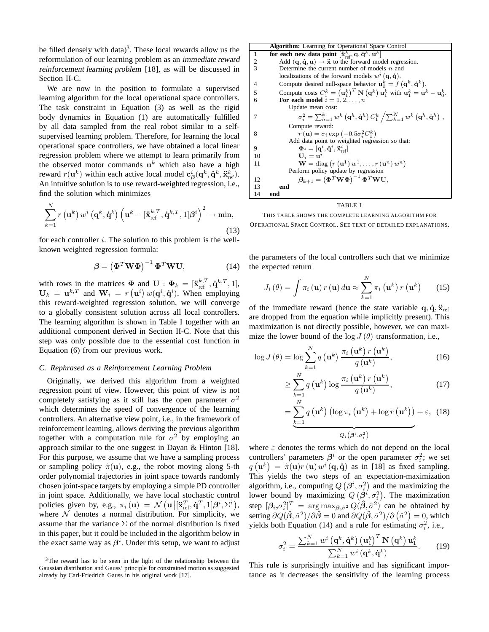be filled densely with data)<sup>3</sup>. These local rewards allow us the reformulation of our learning problem as an immediate reward reinforcement learning problem [18], as will be discussed in Section II-C.

We are now in the position to formulate a supervised learning algorithm for the local operational space controllers. The task constraint in Equation (3) as well as the rigid body dynamics in Equation (1) are automatically fulfilled by all data sampled from the real robot similar to a selfsupervised learning problem. Therefore, for learning the local operational space controllers, we have obtained a local linear regression problem where we attempt to learn primarily from the observed motor commands  $\mathbf{u}^k$  which also have a high reward  $r(\mathbf{u}^k)$  within each active local model  $\mathbf{c}^i_{\boldsymbol{\beta}}(\mathbf{q}^k, \mathbf{\dot{q}}^k, \mathbf{\ddot{x}}^k_{\text{ref}})$ . An intuitive solution is to use reward-weighted regression, i.e., find the solution which minimizes

$$
\sum_{k=1}^{N} r\left(\mathbf{u}^{k}\right) w^{i}\left(\mathbf{q}^{k}, \dot{\mathbf{q}}^{k}\right) \left(\mathbf{u}^{k} - [\ddot{\mathbf{x}}_{\text{ref}}^{k,T}, \dot{\mathbf{q}}^{k,T}, 1] \boldsymbol{\beta}^{i}\right)^{2} \to \min,
$$
\n(13)

for each controller  $i$ . The solution to this problem is the wellknown weighted regression formula:

$$
\beta = \left(\mathbf{\Phi}^T \mathbf{W} \mathbf{\Phi}\right)^{-1} \mathbf{\Phi}^T \mathbf{W} \mathbf{U},\tag{14}
$$

with rows in the matrices  $\Phi$  and  $\mathbf{U}$  :  $\Phi_k = [\ddot{\mathbf{x}}_{\text{ref}}^{k,T}, \dot{\mathbf{q}}^{k,T}, 1]$ ,  $U_k = \mathbf{u}^{k,T}$  and  $\mathbf{W}_i = r(\mathbf{u}^i) w(\mathbf{q}^i, \dot{\mathbf{q}}^i)$ . When employing this reward-weighted regression solution, we will converge to a globally consistent solution across all local controllers. The learning algorithm is shown in Table I together with an additional component derived in Section II-C. Note that this step was only possible due to the essential cost function in Equation (6) from our previous work.

#### *C. Rephrased as a Reinforcement Learning Problem*

Originally, we derived this algorithm from a weighted regression point of view. However, this point of view is not completely satisfying as it still has the open parameter  $\sigma^2$ which determines the speed of convergence of the learning controllers. An alternative view point, i.e., in the framework of reinforcement learning, allows deriving the previous algorithm together with a computation rule for  $\sigma^2$  by employing an approach similar to the one suggest in Dayan & Hinton [18]. For this purpose, we assume that we have a sampling process or sampling policy  $\tilde{\pi}(\mathbf{u})$ , e.g., the robot moving along 5-th order polynomial trajectories in joint space towards randomly chosen joint-space targets by employing a simple PD controller in joint space. Additionally, we have local stochastic control policies given by, e.g.,  $\pi_i(\mathbf{u}) = \mathcal{N}(\mathbf{u} \vert [\mathbf{\ddot{x}}_{\text{ref}}^T, \mathbf{\dot{q}}^T, 1] \boldsymbol{\beta}^i, \Sigma^i),$ where  $N$  denotes a normal distribution. For simplicity, we assume that the variance  $\Sigma$  of the normal distribution is fixed in this paper, but it could be included in the algorithm below in the exact same way as  $\beta^i$ . Under this setup, we want to adjust

|    | <b>Algorithm:</b> Learning for Operational Space Control                                                                                                               |
|----|------------------------------------------------------------------------------------------------------------------------------------------------------------------------|
| 1  | for each new data point $[\ddot{x}^k_{ref}, q, \dot{q}^k, u^k]$                                                                                                        |
| 2  | Add $({\bf q}, {\bf \dot{q}}, {\bf u}) \rightarrow {\bf \ddot{x}}$ to the forward model regression.                                                                    |
| 3  | Determine the current number of models $n$ and                                                                                                                         |
|    | localizations of the forward models $w^i(\mathbf{q}, \dot{\mathbf{q}})$ .                                                                                              |
| 4  | Compute desired null-space behavior $\mathbf{u}_0^k = f(\mathbf{q}^k, \dot{\mathbf{q}}^k)$ .                                                                           |
| 5  | Compute costs $C_1^k = (\mathbf{u}_1^k)^T \mathbf{N} (\mathbf{q}^k) \mathbf{u}_1^k$ with $\mathbf{u}_1^k = \mathbf{u}^k - \mathbf{u}_0^k$ .                            |
| 6  | For each model $i = 1, 2, \ldots, n$                                                                                                                                   |
|    | Update mean cost:                                                                                                                                                      |
| 7  | $\sigma_i^2 = \sum_{h=1}^k w^k \left( \mathbf{q}^h, \dot{\mathbf{q}}^h \right) C_1^k \left/ \sum_{k=1}^N w^k \left( \mathbf{q}^h, \dot{\mathbf{q}}^h \right) \right.,$ |
|    | Compute reward:                                                                                                                                                        |
| 8  | $r(\mathbf{u}) = \sigma_i \exp(-0.5\sigma_i^2 C_1^k)$                                                                                                                  |
|    | Add data point to weighted regression so that:                                                                                                                         |
| 9  | $\mathbf{\Phi}_i=[\mathbf{q}^i,\mathbf{\dot{q}}^i,\ddot{\mathbf{x}}_{\text{ref}}^i]$                                                                                   |
| 10 | $U_i = u^i$                                                                                                                                                            |
| 11 | $\mathbf{W} = \text{diag}\left(r\left(\mathbf{u}^1\right)w^1,\ldots,r\left(\mathbf{u}^n\right)w^n\right)$                                                              |
|    | Perform policy update by regression                                                                                                                                    |
| 12 | $\boldsymbol{\beta}_{k+1} = \left(\mathbf{\Phi}^T \mathbf{W} \mathbf{\Phi}\right)^{-1} \mathbf{\Phi}^T \mathbf{W} \mathbf{U},$                                         |
| 13 | end                                                                                                                                                                    |
| 14 | end                                                                                                                                                                    |

TABLE I

THIS TABLE SHOWS THE COMPLETE LEARNING ALGORITHM FOR OPERATIONAL SPACE CONTROL. SEE TEXT OF DETAILED EXPLANATIONS.

the parameters of the local controllers such that we minimize the expected return

$$
J_i(\theta) = \int \pi_i(\mathbf{u}) \, r(\mathbf{u}) \, d\mathbf{u} \approx \sum_{k=1}^N \pi_i(\mathbf{u}^k) \, r(\mathbf{u}^k) \qquad (15)
$$

of the immediate reward (hence the state variable  $\mathbf{q}, \dot{\mathbf{q}}, \ddot{\mathbf{x}}_{\text{ref}}$ are dropped from the equation while implicitly present). This maximization is not directly possible, however, we can maximize the lower bound of the  $log J(\theta)$  transformation, i.e.,

$$
\log J(\theta) = \log \sum_{k=1}^{N} q(\mathbf{u}^{k}) \frac{\pi_{i}(\mathbf{u}^{k}) r(\mathbf{u}^{k})}{q(\mathbf{u}^{k})},
$$
\n(16)

$$
\geq \sum_{k=1}^{N} q\left(\mathbf{u}^{k}\right) \log \frac{\pi_{i}\left(\mathbf{u}^{k}\right) r\left(\mathbf{u}^{k}\right)}{q\left(\mathbf{u}^{k}\right)},\tag{17}
$$

$$
= \underbrace{\sum_{k=1}^{N} q\left(\mathbf{u}^{k}\right) \left(\log \pi_{i}\left(\mathbf{u}^{k}\right) + \log r\left(\mathbf{u}^{k}\right)\right)}_{Q_{i}\left(\boldsymbol{\beta}^{i}, \sigma_{i}^{2}\right)} + \varepsilon, \quad (18)
$$

where  $\varepsilon$  denotes the terms which do not depend on the local controllers' parameters  $\beta^i$  or the open parameter  $\sigma_i^2$ ; we set  $q(\mathbf{u}^k) = \tilde{\pi}(\mathbf{u})r(\mathbf{u})w^i(\mathbf{q},\dot{\mathbf{q}})$  as in [18] as fixed sampling. This yields the two steps of an expectation-maximization algorithm, i.e., computing  $Q(\beta^i, \sigma_i^2)$  and the maximizing the lower bound by maximizing  $Q(\boldsymbol{\beta}^i, \sigma_i^2)$ . The maximization step  $[\beta_i, \sigma_i^2]^T = \arg \max_{\beta, \hat{\sigma}^2} Q(\hat{\beta}, \hat{\sigma}^2)$  can be obtained by setting  $\partial Q(\hat{\beta}, \hat{\sigma}^2)/\partial \hat{\beta} = 0$  and  $\partial Q(\hat{\beta}, \hat{\sigma}^2)/\partial (\hat{\sigma}^2) = 0$ , which yields both Equation (14) and a rule for estimating  $\sigma_i^2$ , i.e.,

$$
\sigma_i^2 = \frac{\sum_{k=1}^N w^i (\mathbf{q}^k, \mathbf{\dot{q}}^k) (\mathbf{u}_1^k)^T \mathbf{N} (\mathbf{q}^k) \mathbf{u}_1^k}{\sum_{k=1}^N w^i (\mathbf{q}^k, \mathbf{\dot{q}}^k)}.
$$
 (19)

This rule is surprisingly intuitive and has significant importance as it decreases the sensitivity of the learning process

<sup>&</sup>lt;sup>3</sup>The reward has to be seen in the light of the relationship between the Gaussian distribution and Gauss' principle for constrained motion as suggested already by Carl-Friedrich Gauss in his original work [17].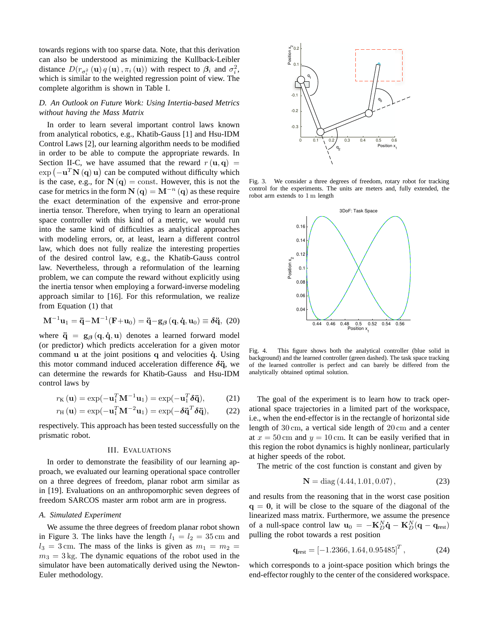towards regions with too sparse data. Note, that this derivation can also be understood as minimizing the Kullback-Leibler distance  $D(r_{\sigma_i^2}(\mathbf{u})q(\mathbf{u}), \pi_i(\mathbf{u}))$  with respect to  $\beta_i$  and  $\sigma_i^2$ , which is similar to the weighted regression point of view. The complete algorithm is shown in Table I.

## *D. An Outlook on Future Work: Using Intertia-based Metrics without having the Mass Matrix*

In order to learn several important control laws known from analytical robotics, e.g., Khatib-Gauss [1] and Hsu-IDM Control Laws [2], our learning algorithm needs to be modified in order to be able to compute the appropriate rewards. In Section II-C, we have assumed that the reward  $r(\mathbf{u}, \mathbf{q}) =$  $\exp(-\mathbf{u}^T \mathbf{N}(\mathbf{q}) \mathbf{u})$  can be computed without difficulty which is the case, e.g., for  $N(q) = \text{const.}$  However, this is not the case for metrics in the form  $N(q) = M^{-n}(q)$  as these require the exact determination of the expensive and error-prone inertia tensor. Therefore, when trying to learn an operational space controller with this kind of a metric, we would run into the same kind of difficulties as analytical approaches with modeling errors, or, at least, learn a different control law, which does not fully realize the interesting properties of the desired control law, e.g., the Khatib-Gauss control law. Nevertheless, through a reformulation of the learning problem, we can compute the reward without explicitly using the inertia tensor when employing a forward-inverse modeling approach similar to [16]. For this reformulation, we realize from Equation (1) that

$$
\mathbf{M}^{-1}\mathbf{u}_1 = \ddot{\mathbf{q}} - \mathbf{M}^{-1}(\mathbf{F} + \mathbf{u}_0) = \ddot{\mathbf{q}} - \mathbf{g}_{\beta}(\mathbf{q}, \dot{\mathbf{q}}, \mathbf{u}_0) \equiv \delta \ddot{\mathbf{q}}, (20)
$$

where  $\ddot{\mathbf{q}} = \mathbf{g}_{\beta} (\mathbf{q}, \dot{\mathbf{q}}, \mathbf{u})$  denotes a learned forward model (or predictor) which predicts acceleration for a given motor command  $u$  at the joint positions  $q$  and velocities  $\dot{q}$ . Using this motor command induced acceleration difference  $\delta \ddot{q}$ , we can determine the rewards for Khatib-Gauss and Hsu-IDM control laws by

$$
r_{\mathbf{K}}\left(\mathbf{u}\right) = \exp(-\mathbf{u}_1^T \mathbf{M}^{-1} \mathbf{u}_1) = \exp(-\mathbf{u}_1^T \delta \ddot{\mathbf{q}}),\tag{21}
$$

$$
r_{\rm H}(\mathbf{u}) = \exp(-\mathbf{u}_1^T \mathbf{M}^{-2} \mathbf{u}_1) = \exp(-\delta \ddot{\mathbf{q}}^T \delta \ddot{\mathbf{q}}), \qquad (22)
$$

respectively. This approach has been tested successfully on the prismatic robot.

#### III. EVALUATIONS

In order to demonstrate the feasibility of our learning approach, we evaluated our learning operational space controller on a three degrees of freedom, planar robot arm similar as in [19]. Evaluations on an anthropomorphic seven degrees of freedom SARCOS master arm robot arm are in progress.

#### *A. Simulated Experiment*

We assume the three degrees of freedom planar robot shown in Figure 3. The links have the length  $l_1 = l_2 = 35$  cm and  $l_3 = 3$  cm. The mass of the links is given as  $m_1 = m_2 =$  $m_3 = 3$  kg. The dynamic equations of the robot used in the simulator have been automatically derived using the Newton-Euler methodology.



Fig. 3. We consider a three degrees of freedom, rotary robot for tracking control for the experiments. The units are meters and, fully extended, the robot arm extends to 1 m length



Fig. 4. This figure shows both the analytical controller (blue solid in background) and the learned controller (green dashed). The task space tracking of the learned controller is perfect and can barely be differed from the analytically obtained optimal solution.

The goal of the experiment is to learn how to track operational space trajectories in a limited part of the workspace, i.e., when the end-effector is in the rectangle of horizontal side length of 30 cm, a vertical side length of 20 cm and a center at  $x = 50$  cm and  $y = 10$  cm. It can be easily verified that in this region the robot dynamics is highly nonlinear, particularly at higher speeds of the robot.

The metric of the cost function is constant and given by

$$
\mathbf{N} = \text{diag}(4.44, 1.01, 0.07),\tag{23}
$$

and results from the reasoning that in the worst case position  $q = 0$ , it will be close to the square of the diagonal of the linearized mass matrix. Furthermore, we assume the presence of a null-space control law  $\mathbf{u}_0 = -\mathbf{K}_D^N \dot{\mathbf{q}} - \mathbf{K}_D^N (\mathbf{q} - \mathbf{q}_{\text{rest}})$ pulling the robot towards a rest position

$$
\mathbf{q}_{\text{rest}} = \left[ -1.2366, 1.64, 0.95485 \right]^T, \tag{24}
$$

which corresponds to a joint-space position which brings the end-effector roughly to the center of the considered workspace.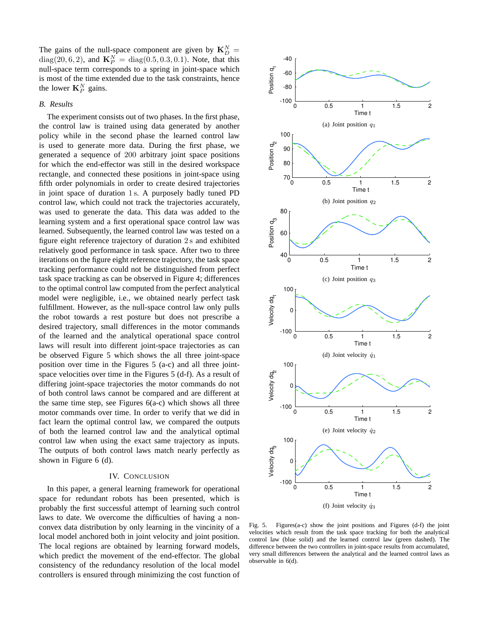The gains of the null-space component are given by  $\mathbf{K}_{D}^{N} =$  $diag(20, 6, 2)$ , and  $\mathbf{K}_P^N = diag(0.5, 0.3, 0.1)$ . Note, that this null-space term corresponds to a spring in joint-space which is most of the time extended due to the task constraints, hence the lower  $\mathbf{K}_P^N$  gains.

## *B. Results*

The experiment consists out of two phases. In the first phase, the control law is trained using data generated by another policy while in the second phase the learned control law is used to generate more data. During the first phase, we generated a sequence of 200 arbitrary joint space positions for which the end-effector was still in the desired workspace rectangle, and connected these positions in joint-space using fifth order polynomials in order to create desired trajectories in joint space of duration 1 s. A purposely badly tuned PD control law, which could not track the trajectories accurately, was used to generate the data. This data was added to the learning system and a first operational space control law was learned. Subsequently, the learned control law was tested on a figure eight reference trajectory of duration 2 s and exhibited relatively good performance in task space. After two to three iterations on the figure eight reference trajectory, the task space tracking performance could not be distinguished from perfect task space tracking as can be observed in Figure 4; differences to the optimal control law computed from the perfect analytical model were negligible, i.e., we obtained nearly perfect task fulfillment. However, as the null-space control law only pulls the robot towards a rest posture but does not prescribe a desired trajectory, small differences in the motor commands of the learned and the analytical operational space control laws will result into different joint-space trajectories as can be observed Figure 5 which shows the all three joint-space position over time in the Figures 5 (a-c) and all three jointspace velocities over time in the Figures 5 (d-f). As a result of differing joint-space trajectories the motor commands do not of both control laws cannot be compared and are different at the same time step, see Figures  $6(a-c)$  which shows all three motor commands over time. In order to verify that we did in fact learn the optimal control law, we compared the outputs of both the learned control law and the analytical optimal control law when using the exact same trajectory as inputs. The outputs of both control laws match nearly perfectly as shown in Figure 6 (d).

#### IV. CONCLUSION

In this paper, a general learning framework for operational space for redundant robots has been presented, which is probably the first successful attempt of learning such control laws to date. We overcome the difficulties of having a nonconvex data distribution by only learning in the vincinity of a local model anchored both in joint velocity and joint position. The local regions are obtained by learning forward models, which predict the movement of the end-effector. The global consistency of the redundancy resolution of the local model controllers is ensured through minimizing the cost function of



Fig. 5. Figures(a-c) show the joint positions and Figures (d-f) the joint velocities which result from the task space tracking for both the analytical control law (blue solid) and the learned control law (green dashed). The difference between the two controllers in joint-space results from accumulated, very small differences between the analytical and the learned control laws as observable in 6(d).